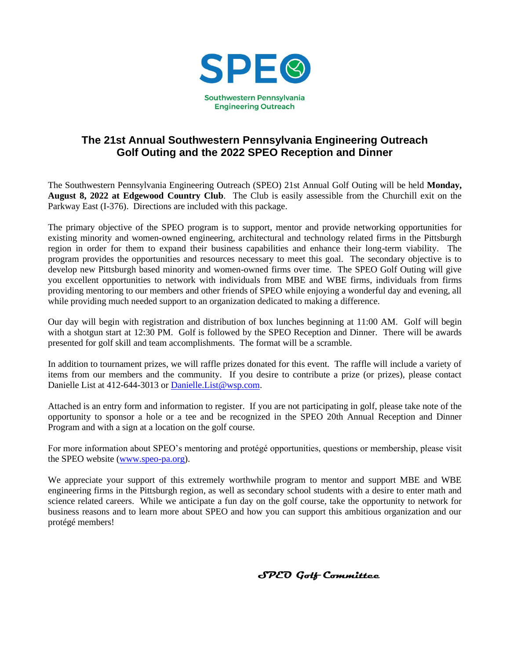

## **The 21st Annual Southwestern Pennsylvania Engineering Outreach Golf Outing and the 2022 SPEO Reception and Dinner**

The Southwestern Pennsylvania Engineering Outreach (SPEO) 21st Annual Golf Outing will be held **Monday, August 8, 2022 at Edgewood Country Club**. The Club is easily assessible from the Churchill exit on the Parkway East (I-376). Directions are included with this package.

The primary objective of the SPEO program is to support, mentor and provide networking opportunities for existing minority and women-owned engineering, architectural and technology related firms in the Pittsburgh region in order for them to expand their business capabilities and enhance their long-term viability. The program provides the opportunities and resources necessary to meet this goal. The secondary objective is to develop new Pittsburgh based minority and women-owned firms over time. The SPEO Golf Outing will give you excellent opportunities to network with individuals from MBE and WBE firms, individuals from firms providing mentoring to our members and other friends of SPEO while enjoying a wonderful day and evening, all while providing much needed support to an organization dedicated to making a difference.

Our day will begin with registration and distribution of box lunches beginning at 11:00 AM. Golf will begin with a shotgun start at 12:30 PM. Golf is followed by the SPEO Reception and Dinner. There will be awards presented for golf skill and team accomplishments. The format will be a scramble.

In addition to tournament prizes, we will raffle prizes donated for this event. The raffle will include a variety of items from our members and the community. If you desire to contribute a prize (or prizes), please contact Danielle List at 412-644-3013 or [Danielle.List@wsp.com.](mailto:Danielle.List@wsp.com)

Attached is an entry form and information to register. If you are not participating in golf, please take note of the opportunity to sponsor a hole or a tee and be recognized in the SPEO 20th Annual Reception and Dinner Program and with a sign at a location on the golf course.

For more information about SPEO's mentoring and protégé opportunities, questions or membership, please visit the SPEO website [\(www.speo-pa.org\)](http://www.speo-pa.org/).

We appreciate your support of this extremely worthwhile program to mentor and support MBE and WBE engineering firms in the Pittsburgh region, as well as secondary school students with a desire to enter math and science related careers. While we anticipate a fun day on the golf course, take the opportunity to network for business reasons and to learn more about SPEO and how you can support this ambitious organization and our protégé members!

SPEO Golf Committee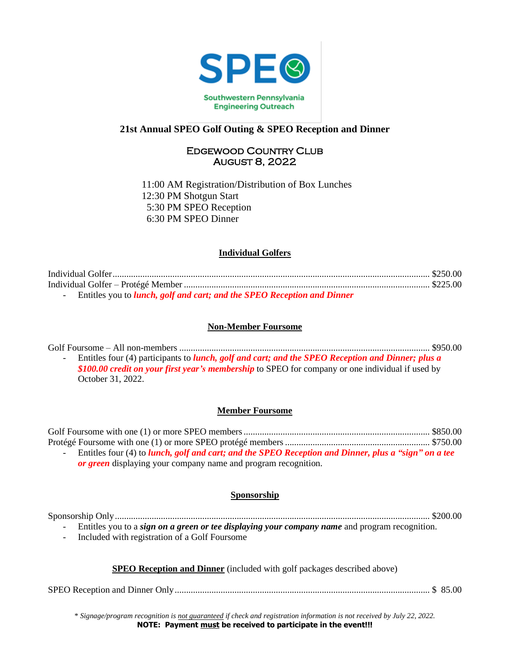

## **21st Annual SPEO Golf Outing & SPEO Reception and Dinner**

## Edgewood Country Club August 8, 2022

11:00 AM Registration/Distribution of Box Lunches 12:30 PM Shotgun Start 5:30 PM SPEO Reception 6:30 PM SPEO Dinner

#### **Individual Golfers**

Individual Golfer.......................................................................................................................................... \$250.00 Individual Golfer – Protégé Member ........................................................................................................... \$225.00 - Entitles you to *lunch, golf and cart; and the SPEO Reception and Dinner*

#### **Non-Member Foursome**

Golf Foursome – All non-members ............................................................................................................. \$950.00 - Entitles four (4) participants to *lunch, golf and cart; and the SPEO Reception and Dinner; plus a \$100.00 credit on your first year's membership* to SPEO for company or one individual if used by October 31, 2022.

## **Member Foursome**

Golf Foursome with one (1) or more SPEO members................................................................................. \$850.00 Protégé Foursome with one (1) or more SPEO protégé members............................................................... \$750.00 - Entitles four (4) to *lunch, golf and cart; and the SPEO Reception and Dinner, plus a "sign" on a tee or green* displaying your company name and program recognition.

#### **Sponsorship**

Sponsorship Only......................................................................................................................................... \$200.00

- Entitles you to a *sign on a green or tee displaying your company name* and program recognition.
- Included with registration of a Golf Foursome

**SPEO Reception and Dinner** (included with golf packages described above)

SPEO Reception and Dinner Only............................................................................................................... \$ 85.00

\* *Signage/program recognition is not guaranteed if check and registration information is not received by July 22, 2022.* **NOTE: Payment must be received to participate in the event!!!**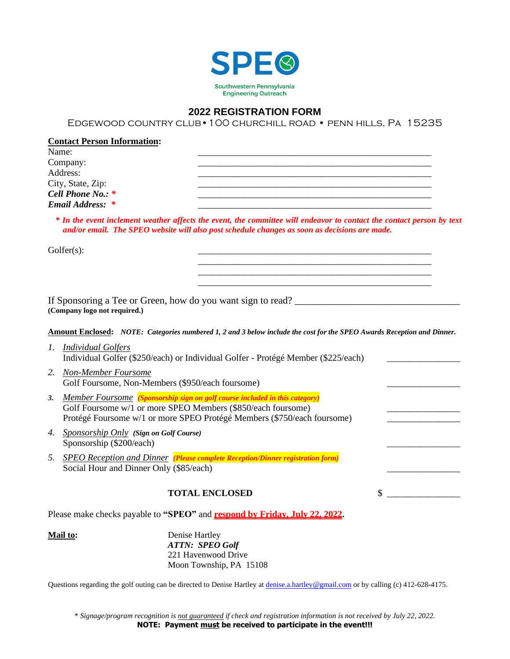

## **2022 REGISTRATION FORM**

Edgewood country club•100 churchill road • penn hills, Pa 15235

|    | <b>Contact Person Information:</b><br>Name:<br>Company:<br>Address:<br>City, State, Zip:<br>Cell Phone No.: *<br>Email Address: *<br>* In the event inclement weather affects the event, the committee will endeavor to contact the contact person by text |   |  |
|----|------------------------------------------------------------------------------------------------------------------------------------------------------------------------------------------------------------------------------------------------------------|---|--|
|    | and/or email. The SPEO website will also post schedule changes as soon as decisions are made.                                                                                                                                                              |   |  |
|    | $Golfer(s)$ :                                                                                                                                                                                                                                              |   |  |
|    | <u> 1989 - Johann John Harry Harry Harry Harry Harry Harry Harry Harry Harry Harry Harry Harry Harry Harry Harry</u>                                                                                                                                       |   |  |
|    | <u> 1989 - Johann Stoff, deutscher Stoff, der Stoff, der Stoff, der Stoff, der Stoff, der Stoff, der Stoff, der S</u>                                                                                                                                      |   |  |
|    | If Sponsoring a Tee or Green, how do you want sign to read?<br>(Company logo not required.)                                                                                                                                                                |   |  |
|    | Amount Enclosed: NOTE: Categories numbered 1, 2 and 3 below include the cost for the SPEO Awards Reception and Dinner.                                                                                                                                     |   |  |
|    | 1. Individual Golfers<br>Individual Golfer (\$250/each) or Individual Golfer - Protégé Member (\$225/each)                                                                                                                                                 |   |  |
| 2. | <b>Non-Member Foursome</b><br>Golf Foursome, Non-Members (\$950/each foursome)                                                                                                                                                                             |   |  |
| 3. | Member Foursome (Sponsorship sign on golf course included in this category)<br>Golf Foursome w/1 or more SPEO Members (\$850/each foursome)<br>Protégé Foursome w/1 or more SPEO Protégé Members (\$750/each foursome)                                     |   |  |
| 4. | <b>Sponsorship Only (Sign on Golf Course)</b><br>Sponsorship (\$200/each)                                                                                                                                                                                  |   |  |
| 5. | <b>SPEO Reception and Dinner</b> (Please complete Reception/Dinner registration form)<br>Social Hour and Dinner Only (\$85/each)                                                                                                                           |   |  |
|    | <b>TOTAL ENCLOSED</b>                                                                                                                                                                                                                                      | S |  |
|    | Please make checks payable to "SPEO" and respond by Friday, July 22, 2022.                                                                                                                                                                                 |   |  |
|    | Mail to:<br>Denise Hartley<br><b>ATTN: SPEO Golf</b><br>221 Havenwood Drive<br>Moon Township, PA 15108                                                                                                                                                     |   |  |

Questions regarding the golf outing can be directed to Denise Hartley at [denise.a.hartley@gmail.com](mailto:denise.a.hartley@gmail.com) or by calling (c) 412-628-4175.

\* *Signage/program recognition is not guaranteed if check and registration information is not received by July 22, 2022.* **NOTE: Payment must be received to participate in the event!!!**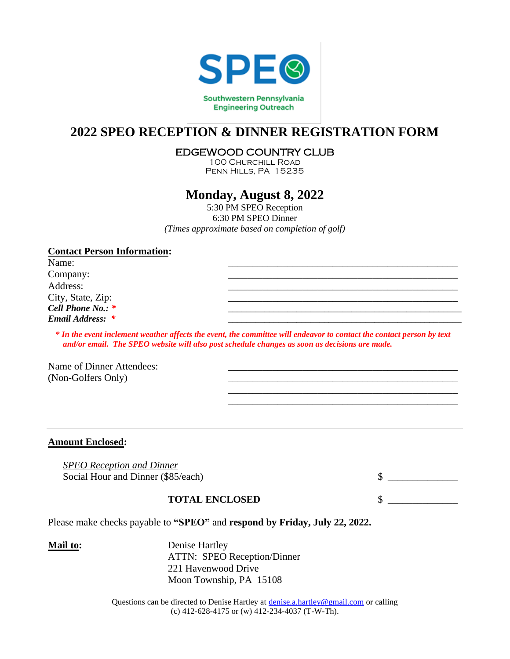

# **2022 SPEO RECEPTION & DINNER REGISTRATION FORM**

## EDGEWOOD COUNTRY CLUB

100 Churchill Road PENN HILLS, PA 15235

## **Monday, August 8, 2022**

5:30 PM SPEO Reception 6:30 PM SPEO Dinner *(Times approximate based on completion of golf)*

## **Contact Person Information:**

Name: 2008. The contract of the contract of the contract of the contract of the contract of the contract of the contract of the contract of the contract of the contract of the contract of the contract of the contract of th Company: \_\_\_\_\_\_\_\_\_\_\_\_\_\_\_\_\_\_\_\_\_\_\_\_\_\_\_\_\_\_\_\_\_\_\_\_\_\_\_\_\_\_\_\_\_\_ Address: \_\_\_\_\_\_\_\_\_\_\_\_\_\_\_\_\_\_\_\_\_\_\_\_\_\_\_\_\_\_\_\_\_\_\_\_\_\_\_\_\_\_\_\_\_\_ City, State, Zip: *Cell Phone No.: \* \_\_\_\_\_\_\_\_\_\_\_\_\_\_\_\_\_\_\_\_\_\_\_\_\_\_\_\_\_\_\_\_\_\_\_\_\_\_\_\_\_\_\_\_\_\_\_\_\_\_\_ Email Address:* \*

*\* In the event inclement weather affects the event, the committee will endeavor to contact the contact person by text and/or email. The SPEO website will also post schedule changes as soon as decisions are made.* 

Name of Dinner Attendees: (Non-Golfers Only)

## **Amount Enclosed:**

*SPEO Reception and Dinner* Social Hour and Dinner (\$85/each) \$

# **TOTAL ENCLOSED** \$

\_\_\_\_\_\_\_\_\_\_\_\_\_\_\_\_\_\_\_\_\_\_\_\_\_\_\_\_\_\_\_\_\_\_\_\_\_\_\_\_\_\_\_\_\_\_ \_\_\_\_\_\_\_\_\_\_\_\_\_\_\_\_\_\_\_\_\_\_\_\_\_\_\_\_\_\_\_\_\_\_\_\_\_\_\_\_\_\_\_\_\_\_

Please make checks payable to **"SPEO"** and **respond by Friday, July 22, 2022.**

**Mail to:** Denise Hartley ATTN: SPEO Reception/Dinner 221 Havenwood Drive Moon Township, PA 15108

> Questions can be directed to Denise Hartley at [denise.a.hartley@gmail.com](mailto:denise.a.hartley@gmail.com) or calling (c) 412-628-4175 or (w) 412-234-4037 (T-W-Th).